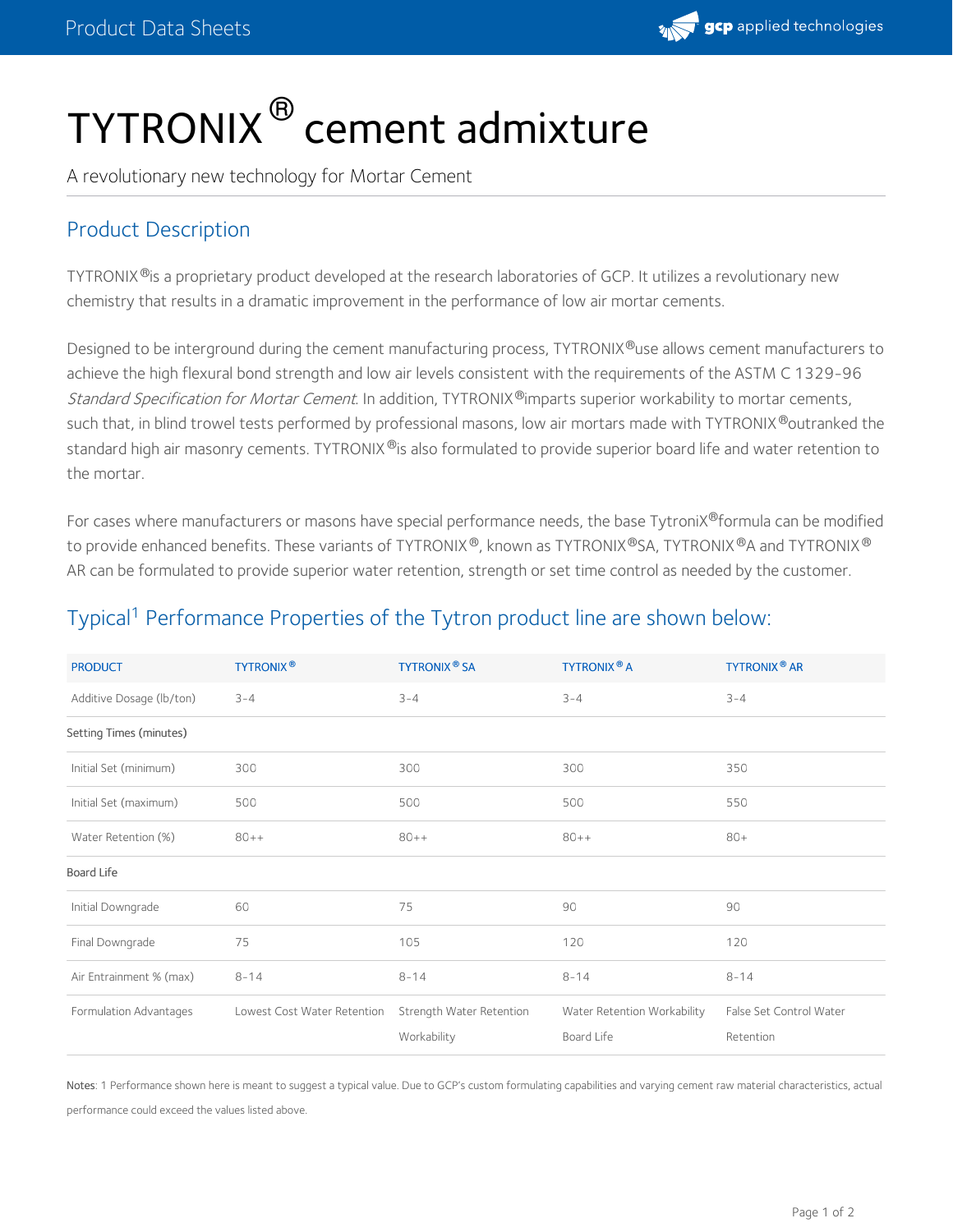

## TYTRONIX<sup>®</sup> cement admixture

A revolutionary new technology for Mortar Cement

## Product Description

TYTRONIX®is a proprietary product developed at the research laboratories of GCP. It utilizes a revolutionary new chemistry that results in a dramatic improvement in the performance of low air mortar cements.

Designed to be interground during the cement manufacturing process, TYTRONIX®use allows cement manufacturers to achieve the high flexural bond strength and low air levels consistent with the requirements of the ASTM C 1329-96 *Standard Specification for Mortar Cement*. In addition, TYTRONIX®imparts superior workability to mortar cements, such that, in blind trowel tests performed by professional masons, low air mortars made with TYTRONIX®outranked the standard high air masonry cements. TYTRONIX®is also formulated to provide superior board life and water retention to the mortar.

For cases where manufacturers or masons have special performance needs, the base TytroniX®formula can be modified to provide enhanced benefits. These variants of TYTRONIX®, known as TYTRONIX®SA, TYTRONIX®A and TYTRONIX® AR can be formulated to provide superior water retention, strength or set time control as needed by the customer.

## Typical<sup>1</sup> Performance Properties of the Tytron product line are shown below:

| <b>PRODUCT</b>           | <b>TYTRONIX®</b>            | <b>TYTRONIX<sup>®</sup> SA</b>          | <b>TYTRONIX<sup>®</sup> A</b>             | <b>TYTRONIX<sup>®</sup> AR</b>       |
|--------------------------|-----------------------------|-----------------------------------------|-------------------------------------------|--------------------------------------|
| Additive Dosage (lb/ton) | $3 - 4$                     | $3 - 4$                                 | $3 - 4$                                   | $3 - 4$                              |
| Setting Times (minutes)  |                             |                                         |                                           |                                      |
| Initial Set (minimum)    | 300                         | 300                                     | 300                                       | 350                                  |
| Initial Set (maximum)    | 500                         | 500                                     | 500                                       | 550                                  |
| Water Retention (%)      | $80++$                      | $80++$                                  | $80++$                                    | $80+$                                |
| Board Life               |                             |                                         |                                           |                                      |
| Initial Downgrade        | 60                          | 75                                      | 90                                        | 90                                   |
| Final Downgrade          | 75                          | 105                                     | 120                                       | 120                                  |
| Air Entrainment % (max)  | $8 - 14$                    | $8 - 14$                                | $8 - 14$                                  | $8 - 14$                             |
| Formulation Advantages   | Lowest Cost Water Retention | Strength Water Retention<br>Workability | Water Retention Workability<br>Board Life | False Set Control Water<br>Retention |

Notes: 1 Performance shown here is meant to suggest a typical value. Due to GCP's custom formulating capabilities and varying cement raw material characteristics, actual performance could exceed the values listed above.